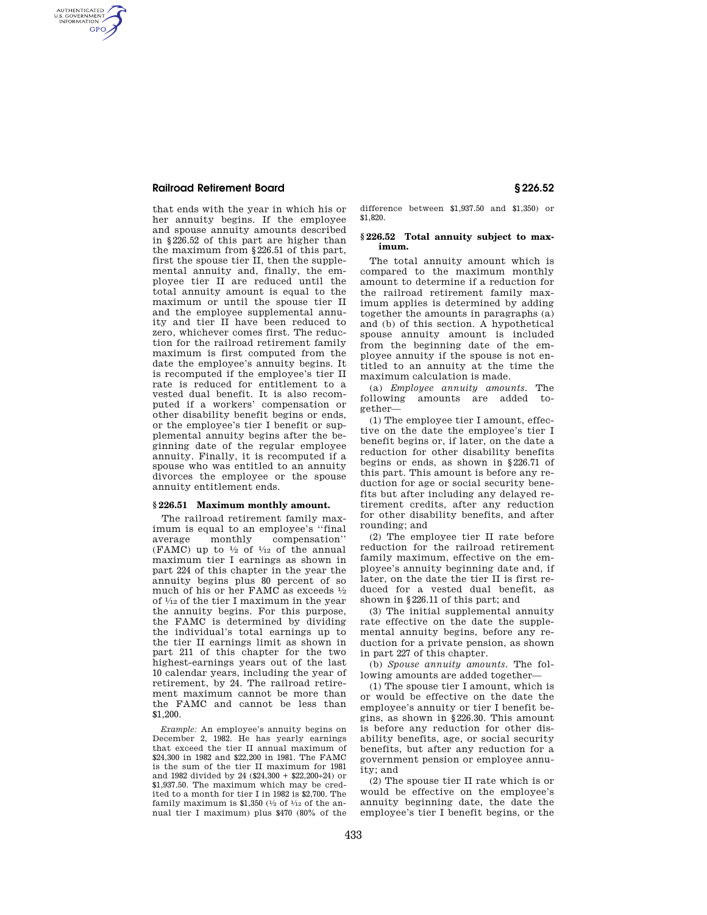## **Railroad Retirement Board § 226.52**

AUTHENTICATED<br>U.S. GOVERNMENT<br>INFORMATION **GPO** 

> that ends with the year in which his or her annuity begins. If the employee and spouse annuity amounts described in §226.52 of this part are higher than the maximum from §226.51 of this part, first the spouse tier II, then the supplemental annuity and, finally, the employee tier II are reduced until the total annuity amount is equal to the maximum or until the spouse tier II and the employee supplemental annuity and tier II have been reduced to zero, whichever comes first. The reduction for the railroad retirement family maximum is first computed from the date the employee's annuity begins. It is recomputed if the employee's tier II rate is reduced for entitlement to a vested dual benefit. It is also recomputed if a workers' compensation or other disability benefit begins or ends, or the employee's tier I benefit or supplemental annuity begins after the beginning date of the regular employee annuity. Finally, it is recomputed if a spouse who was entitled to an annuity divorces the employee or the spouse annuity entitlement ends.

#### **§ 226.51 Maximum monthly amount.**

The railroad retirement family maximum is equal to an employee's "final<br>average monthly compensation" average monthly compensation'' (FAMC) up to  $\frac{1}{2}$  of  $\frac{1}{12}$  of the annual maximum tier I earnings as shown in part 224 of this chapter in the year the annuity begins plus 80 percent of so much of his or her FAMC as exceeds 1⁄2 of 1⁄12 of the tier I maximum in the year the annuity begins. For this purpose, the FAMC is determined by dividing the individual's total earnings up to the tier II earnings limit as shown in part 211 of this chapter for the two highest-earnings years out of the last 10 calendar years, including the year of retirement, by 24. The railroad retirement maximum cannot be more than the FAMC and cannot be less than \$1,200.

*Example:* An employee's annuity begins on December 2, 1982. He has yearly earnings that exceed the tier II annual maximum of \$24,300 in 1982 and \$22,200 in 1981. The FAMC is the sum of the tier II maximum for 1981 and 1982 divided by 24 (\$24,300 + \$22,200÷24) or \$1,937.50. The maximum which may be credited to a month for tier I in 1982 is \$2,700. The family maximum is \$1,350 ( $\frac{1}{2}$  of  $\frac{1}{12}$  of the annual tier I maximum) plus \$470 (80% of the difference between \$1,937.50 and \$1,350) or \$1,820.

### **§ 226.52 Total annuity subject to maximum.**

The total annuity amount which is compared to the maximum monthly amount to determine if a reduction for the railroad retirement family maximum applies is determined by adding together the amounts in paragraphs (a) and (b) of this section. A hypothetical spouse annuity amount is included from the beginning date of the employee annuity if the spouse is not entitled to an annuity at the time the maximum calculation is made.

(a) *Employee annuity amounts.* The following amounts are added together—

(1) The employee tier I amount, effective on the date the employee's tier I benefit begins or, if later, on the date a reduction for other disability benefits begins or ends, as shown in §226.71 of this part. This amount is before any reduction for age or social security benefits but after including any delayed retirement credits, after any reduction for other disability benefits, and after rounding; and

(2) The employee tier II rate before reduction for the railroad retirement family maximum, effective on the employee's annuity beginning date and, if later, on the date the tier II is first reduced for a vested dual benefit, as shown in §226.11 of this part; and

(3) The initial supplemental annuity rate effective on the date the supplemental annuity begins, before any reduction for a private pension, as shown in part 227 of this chapter.

(b) *Spouse annuity amounts.* The following amounts are added together—

(1) The spouse tier I amount, which is or would be effective on the date the employee's annuity or tier I benefit begins, as shown in §226.30. This amount is before any reduction for other disability benefits, age, or social security benefits, but after any reduction for a government pension or employee annuity; and

(2) The spouse tier II rate which is or would be effective on the employee's annuity beginning date, the date the employee's tier I benefit begins, or the